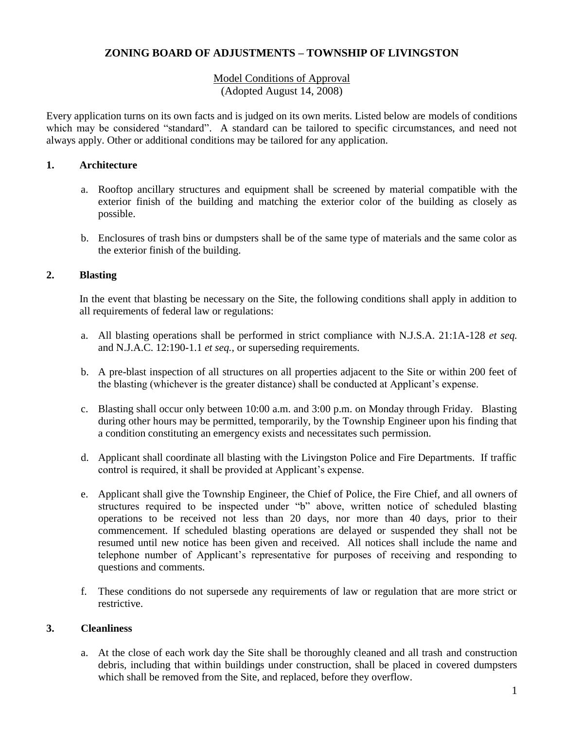# **ZONING BOARD OF ADJUSTMENTS – TOWNSHIP OF LIVINGSTON**

# Model Conditions of Approval (Adopted August 14, 2008)

Every application turns on its own facts and is judged on its own merits. Listed below are models of conditions which may be considered "standard". A standard can be tailored to specific circumstances, and need not always apply. Other or additional conditions may be tailored for any application.

## **1. Architecture**

- a. Rooftop ancillary structures and equipment shall be screened by material compatible with the exterior finish of the building and matching the exterior color of the building as closely as possible.
- b. Enclosures of trash bins or dumpsters shall be of the same type of materials and the same color as the exterior finish of the building.

## **2. Blasting**

In the event that blasting be necessary on the Site, the following conditions shall apply in addition to all requirements of federal law or regulations:

- a. All blasting operations shall be performed in strict compliance with N.J.S.A. 21:1A-128 *et seq.* and N.J.A.C. 12:190-1.1 *et seq.*, or superseding requirements.
- b. A pre-blast inspection of all structures on all properties adjacent to the Site or within 200 feet of the blasting (whichever is the greater distance) shall be conducted at Applicant's expense.
- c. Blasting shall occur only between 10:00 a.m. and 3:00 p.m. on Monday through Friday. Blasting during other hours may be permitted, temporarily, by the Township Engineer upon his finding that a condition constituting an emergency exists and necessitates such permission.
- d. Applicant shall coordinate all blasting with the Livingston Police and Fire Departments. If traffic control is required, it shall be provided at Applicant's expense.
- e. Applicant shall give the Township Engineer, the Chief of Police, the Fire Chief, and all owners of structures required to be inspected under "b" above, written notice of scheduled blasting operations to be received not less than 20 days, nor more than 40 days, prior to their commencement. If scheduled blasting operations are delayed or suspended they shall not be resumed until new notice has been given and received. All notices shall include the name and telephone number of Applicant's representative for purposes of receiving and responding to questions and comments.
- f. These conditions do not supersede any requirements of law or regulation that are more strict or restrictive.

### **3. Cleanliness**

a. At the close of each work day the Site shall be thoroughly cleaned and all trash and construction debris, including that within buildings under construction, shall be placed in covered dumpsters which shall be removed from the Site, and replaced, before they overflow.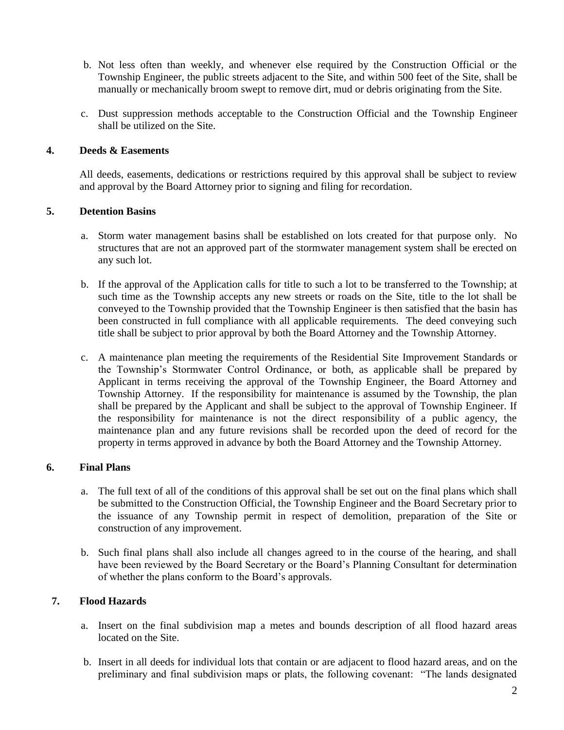- b. Not less often than weekly, and whenever else required by the Construction Official or the Township Engineer, the public streets adjacent to the Site, and within 500 feet of the Site, shall be manually or mechanically broom swept to remove dirt, mud or debris originating from the Site.
- c. Dust suppression methods acceptable to the Construction Official and the Township Engineer shall be utilized on the Site.

#### **4. Deeds & Easements**

All deeds, easements, dedications or restrictions required by this approval shall be subject to review and approval by the Board Attorney prior to signing and filing for recordation.

#### **5. Detention Basins**

- a. Storm water management basins shall be established on lots created for that purpose only. No structures that are not an approved part of the stormwater management system shall be erected on any such lot.
- b. If the approval of the Application calls for title to such a lot to be transferred to the Township; at such time as the Township accepts any new streets or roads on the Site, title to the lot shall be conveyed to the Township provided that the Township Engineer is then satisfied that the basin has been constructed in full compliance with all applicable requirements. The deed conveying such title shall be subject to prior approval by both the Board Attorney and the Township Attorney.
- c. A maintenance plan meeting the requirements of the Residential Site Improvement Standards or the Township's Stormwater Control Ordinance, or both, as applicable shall be prepared by Applicant in terms receiving the approval of the Township Engineer, the Board Attorney and Township Attorney. If the responsibility for maintenance is assumed by the Township, the plan shall be prepared by the Applicant and shall be subject to the approval of Township Engineer. If the responsibility for maintenance is not the direct responsibility of a public agency, the maintenance plan and any future revisions shall be recorded upon the deed of record for the property in terms approved in advance by both the Board Attorney and the Township Attorney.

### **6. Final Plans**

- a. The full text of all of the conditions of this approval shall be set out on the final plans which shall be submitted to the Construction Official, the Township Engineer and the Board Secretary prior to the issuance of any Township permit in respect of demolition, preparation of the Site or construction of any improvement.
- b. Such final plans shall also include all changes agreed to in the course of the hearing, and shall have been reviewed by the Board Secretary or the Board's Planning Consultant for determination of whether the plans conform to the Board's approvals.

### **7. Flood Hazards**

- a. Insert on the final subdivision map a metes and bounds description of all flood hazard areas located on the Site.
- b. Insert in all deeds for individual lots that contain or are adjacent to flood hazard areas, and on the preliminary and final subdivision maps or plats, the following covenant: "The lands designated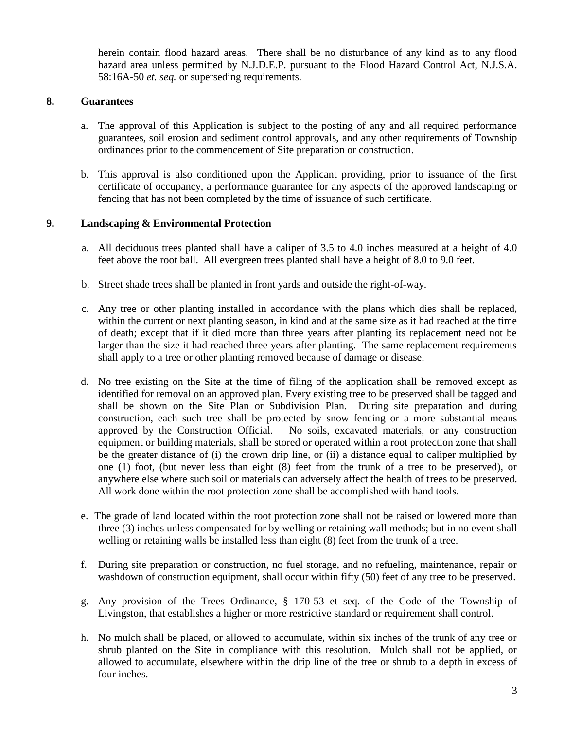herein contain flood hazard areas. There shall be no disturbance of any kind as to any flood hazard area unless permitted by N.J.D.E.P. pursuant to the Flood Hazard Control Act, N.J.S.A. 58:16A-50 *et. seq.* or superseding requirements.

### **8. Guarantees**

- a. The approval of this Application is subject to the posting of any and all required performance guarantees, soil erosion and sediment control approvals, and any other requirements of Township ordinances prior to the commencement of Site preparation or construction.
- b. This approval is also conditioned upon the Applicant providing, prior to issuance of the first certificate of occupancy, a performance guarantee for any aspects of the approved landscaping or fencing that has not been completed by the time of issuance of such certificate.

## **9. Landscaping & Environmental Protection**

- a. All deciduous trees planted shall have a caliper of 3.5 to 4.0 inches measured at a height of 4.0 feet above the root ball. All evergreen trees planted shall have a height of 8.0 to 9.0 feet.
- b. Street shade trees shall be planted in front yards and outside the right-of-way.
- c. Any tree or other planting installed in accordance with the plans which dies shall be replaced, within the current or next planting season, in kind and at the same size as it had reached at the time of death; except that if it died more than three years after planting its replacement need not be larger than the size it had reached three years after planting. The same replacement requirements shall apply to a tree or other planting removed because of damage or disease.
- d. No tree existing on the Site at the time of filing of the application shall be removed except as identified for removal on an approved plan. Every existing tree to be preserved shall be tagged and shall be shown on the Site Plan or Subdivision Plan. During site preparation and during construction, each such tree shall be protected by snow fencing or a more substantial means approved by the Construction Official. No soils, excavated materials, or any construction equipment or building materials, shall be stored or operated within a root protection zone that shall be the greater distance of (i) the crown drip line, or (ii) a distance equal to caliper multiplied by one (1) foot, (but never less than eight (8) feet from the trunk of a tree to be preserved), or anywhere else where such soil or materials can adversely affect the health of trees to be preserved. All work done within the root protection zone shall be accomplished with hand tools.
- e. The grade of land located within the root protection zone shall not be raised or lowered more than three (3) inches unless compensated for by welling or retaining wall methods; but in no event shall welling or retaining walls be installed less than eight (8) feet from the trunk of a tree.
- f. During site preparation or construction, no fuel storage, and no refueling, maintenance, repair or washdown of construction equipment, shall occur within fifty (50) feet of any tree to be preserved.
- g. Any provision of the Trees Ordinance, § 170-53 et seq. of the Code of the Township of Livingston, that establishes a higher or more restrictive standard or requirement shall control.
- h. No mulch shall be placed, or allowed to accumulate, within six inches of the trunk of any tree or shrub planted on the Site in compliance with this resolution. Mulch shall not be applied, or allowed to accumulate, elsewhere within the drip line of the tree or shrub to a depth in excess of four inches.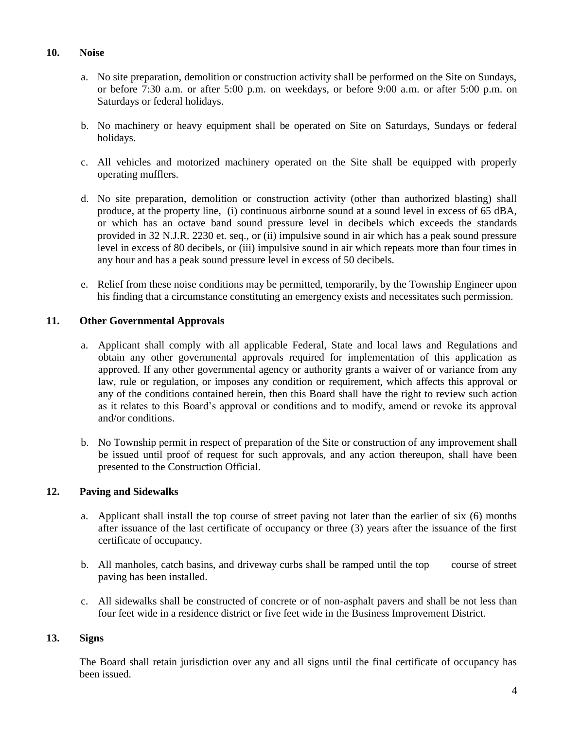### **10. Noise**

- a. No site preparation, demolition or construction activity shall be performed on the Site on Sundays, or before 7:30 a.m. or after 5:00 p.m. on weekdays, or before 9:00 a.m. or after 5:00 p.m. on Saturdays or federal holidays.
- b. No machinery or heavy equipment shall be operated on Site on Saturdays, Sundays or federal holidays.
- c. All vehicles and motorized machinery operated on the Site shall be equipped with properly operating mufflers.
- d. No site preparation, demolition or construction activity (other than authorized blasting) shall produce, at the property line, (i) continuous airborne sound at a sound level in excess of 65 dBA, or which has an octave band sound pressure level in decibels which exceeds the standards provided in 32 N.J.R. 2230 et. seq., or (ii) impulsive sound in air which has a peak sound pressure level in excess of 80 decibels, or (iii) impulsive sound in air which repeats more than four times in any hour and has a peak sound pressure level in excess of 50 decibels.
- e. Relief from these noise conditions may be permitted, temporarily, by the Township Engineer upon his finding that a circumstance constituting an emergency exists and necessitates such permission.

### **11. Other Governmental Approvals**

- a. Applicant shall comply with all applicable Federal, State and local laws and Regulations and obtain any other governmental approvals required for implementation of this application as approved. If any other governmental agency or authority grants a waiver of or variance from any law, rule or regulation, or imposes any condition or requirement, which affects this approval or any of the conditions contained herein, then this Board shall have the right to review such action as it relates to this Board's approval or conditions and to modify, amend or revoke its approval and/or conditions.
- b. No Township permit in respect of preparation of the Site or construction of any improvement shall be issued until proof of request for such approvals, and any action thereupon, shall have been presented to the Construction Official.

### **12. Paving and Sidewalks**

- a. Applicant shall install the top course of street paving not later than the earlier of six (6) months after issuance of the last certificate of occupancy or three (3) years after the issuance of the first certificate of occupancy.
- b. All manholes, catch basins, and driveway curbs shall be ramped until the top course of street paving has been installed.
- c. All sidewalks shall be constructed of concrete or of non-asphalt pavers and shall be not less than four feet wide in a residence district or five feet wide in the Business Improvement District.

### **13. Signs**

The Board shall retain jurisdiction over any and all signs until the final certificate of occupancy has been issued.